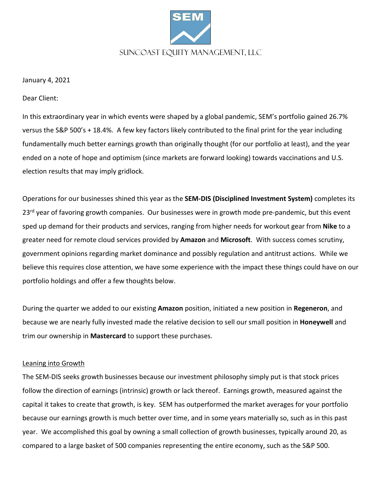

January 4, 2021

Dear Client:

In this extraordinary year in which events were shaped by a global pandemic, SEM's portfolio gained 26.7% versus the S&P 500's + 18.4%. A few key factors likely contributed to the final print for the year including fundamentally much better earnings growth than originally thought (for our portfolio at least), and the year ended on a note of hope and optimism (since markets are forward looking) towards vaccinations and U.S. election results that may imply gridlock.

Operations for our businesses shined this year as the **SEM-DIS (Disciplined Investment System)** completes its 23<sup>rd</sup> year of favoring growth companies. Our businesses were in growth mode pre-pandemic, but this event sped up demand for their products and services, ranging from higher needs for workout gear from **Nike** to a greater need for remote cloud services provided by **Amazon** and **Microsoft**. With success comes scrutiny, government opinions regarding market dominance and possibly regulation and antitrust actions. While we believe this requires close attention, we have some experience with the impact these things could have on our portfolio holdings and offer a few thoughts below.

During the quarter we added to our existing **Amazon** position, initiated a new position in **Regeneron**, and because we are nearly fully invested made the relative decision to sell our small position in **Honeywell** and trim our ownership in **Mastercard** to support these purchases.

## Leaning into Growth

The SEM-DIS seeks growth businesses because our investment philosophy simply put is that stock prices follow the direction of earnings (intrinsic) growth or lack thereof. Earnings growth, measured against the capital it takes to create that growth, is key. SEM has outperformed the market averages for your portfolio because our earnings growth is much better over time, and in some years materially so, such as in this past year. We accomplished this goal by owning a small collection of growth businesses, typically around 20, as compared to a large basket of 500 companies representing the entire economy, such as the S&P 500.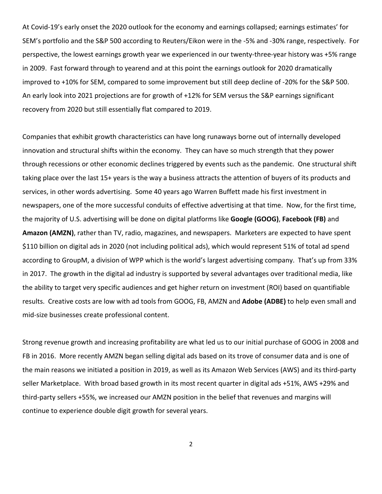At Covid-19's early onset the 2020 outlook for the economy and earnings collapsed; earnings estimates' for SEM's portfolio and the S&P 500 according to Reuters/Eikon were in the -5% and -30% range, respectively. For perspective, the lowest earnings growth year we experienced in our twenty-three-year history was +5% range in 2009. Fast forward through to yearend and at this point the earnings outlook for 2020 dramatically improved to +10% for SEM, compared to some improvement but still deep decline of -20% for the S&P 500. An early look into 2021 projections are for growth of +12% for SEM versus the S&P earnings significant recovery from 2020 but still essentially flat compared to 2019.

Companies that exhibit growth characteristics can have long runaways borne out of internally developed innovation and structural shifts within the economy. They can have so much strength that they power through recessions or other economic declines triggered by events such as the pandemic. One structural shift taking place over the last 15+ years is the way a business attracts the attention of buyers of its products and services, in other words advertising. Some 40 years ago Warren Buffett made his first investment in newspapers, one of the more successful conduits of effective advertising at that time. Now, for the first time, the majority of U.S. advertising will be done on digital platforms like **Google (GOOG)**, **Facebook (FB)** and **Amazon (AMZN)**, rather than TV, radio, magazines, and newspapers. Marketers are expected to have spent \$110 billion on digital ads in 2020 (not including political ads), which would represent 51% of total ad spend according to GroupM, a division of WPP which is the world's largest advertising company. That's up from 33% in 2017. The growth in the digital ad industry is supported by several advantages over traditional media, like the ability to target very specific audiences and get higher return on investment (ROI) based on quantifiable results. Creative costs are low with ad tools from GOOG, FB, AMZN and **Adobe (ADBE)** to help even small and mid-size businesses create professional content.

Strong revenue growth and increasing profitability are what led us to our initial purchase of GOOG in 2008 and FB in 2016. More recently AMZN began selling digital ads based on its trove of consumer data and is one of the main reasons we initiated a position in 2019, as well as its Amazon Web Services (AWS) and its third-party seller Marketplace. With broad based growth in its most recent quarter in digital ads +51%, AWS +29% and third-party sellers +55%, we increased our AMZN position in the belief that revenues and margins will continue to experience double digit growth for several years.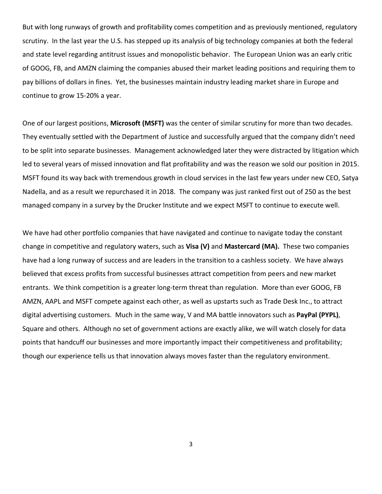But with long runways of growth and profitability comes competition and as previously mentioned, regulatory scrutiny. In the last year the U.S. has stepped up its analysis of big technology companies at both the federal and state level regarding antitrust issues and monopolistic behavior. The European Union was an early critic of GOOG, FB, and AMZN claiming the companies abused their market leading positions and requiring them to pay billions of dollars in fines. Yet, the businesses maintain industry leading market share in Europe and continue to grow 15-20% a year.

One of our largest positions, **Microsoft (MSFT)** was the center of similar scrutiny for more than two decades. They eventually settled with the Department of Justice and successfully argued that the company didn't need to be split into separate businesses. Management acknowledged later they were distracted by litigation which led to several years of missed innovation and flat profitability and was the reason we sold our position in 2015. MSFT found its way back with tremendous growth in cloud services in the last few years under new CEO, Satya Nadella, and as a result we repurchased it in 2018. The company was just ranked first out of 250 as the best managed company in a survey by the Drucker Institute and we expect MSFT to continue to execute well.

We have had other portfolio companies that have navigated and continue to navigate today the constant change in competitive and regulatory waters, such as **Visa (V)** and **Mastercard (MA).** These two companies have had a long runway of success and are leaders in the transition to a cashless society. We have always believed that excess profits from successful businesses attract competition from peers and new market entrants. We think competition is a greater long-term threat than regulation. More than ever GOOG, FB AMZN, AAPL and MSFT compete against each other, as well as upstarts such as Trade Desk Inc., to attract digital advertising customers. Much in the same way, V and MA battle innovators such as **PayPal (PYPL)**, Square and others. Although no set of government actions are exactly alike, we will watch closely for data points that handcuff our businesses and more importantly impact their competitiveness and profitability; though our experience tells us that innovation always moves faster than the regulatory environment.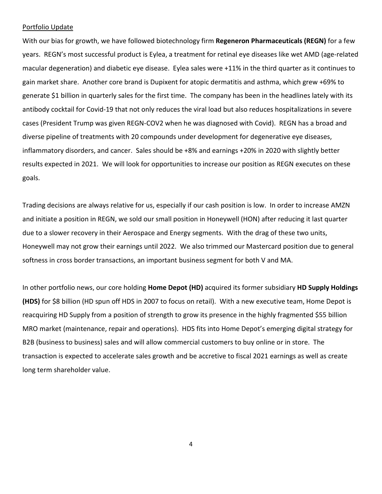### Portfolio Update

With our bias for growth, we have followed biotechnology firm **Regeneron Pharmaceuticals (REGN)** for a few years. REGN's most successful product is Eylea, a treatment for retinal eye diseases like wet AMD (age-related macular degeneration) and diabetic eye disease. Eylea sales were +11% in the third quarter as it continues to gain market share. Another core brand is Dupixent for atopic dermatitis and asthma, which grew +69% to generate \$1 billion in quarterly sales for the first time. The company has been in the headlines lately with its antibody cocktail for Covid-19 that not only reduces the viral load but also reduces hospitalizations in severe cases (President Trump was given REGN-COV2 when he was diagnosed with Covid). REGN has a broad and diverse pipeline of treatments with 20 compounds under development for degenerative eye diseases, inflammatory disorders, and cancer. Sales should be +8% and earnings +20% in 2020 with slightly better results expected in 2021. We will look for opportunities to increase our position as REGN executes on these goals.

Trading decisions are always relative for us, especially if our cash position is low. In order to increase AMZN and initiate a position in REGN, we sold our small position in Honeywell (HON) after reducing it last quarter due to a slower recovery in their Aerospace and Energy segments. With the drag of these two units, Honeywell may not grow their earnings until 2022. We also trimmed our Mastercard position due to general softness in cross border transactions, an important business segment for both V and MA.

In other portfolio news, our core holding **Home Depot (HD)** acquired its former subsidiary **HD Supply Holdings (HDS)** for \$8 billion (HD spun off HDS in 2007 to focus on retail). With a new executive team, Home Depot is reacquiring HD Supply from a position of strength to grow its presence in the highly fragmented \$55 billion MRO market (maintenance, repair and operations). HDS fits into Home Depot's emerging digital strategy for B2B (business to business) sales and will allow commercial customers to buy online or in store. The transaction is expected to accelerate sales growth and be accretive to fiscal 2021 earnings as well as create long term shareholder value.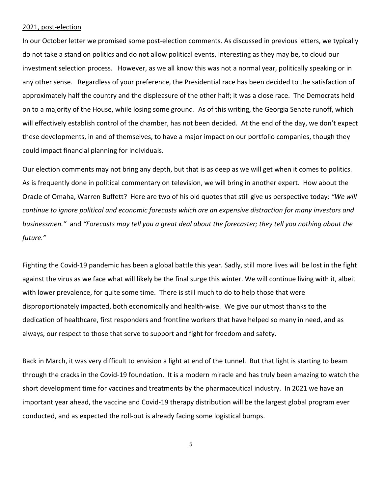### 2021, post-election

In our October letter we promised some post-election comments. As discussed in previous letters, we typically do not take a stand on politics and do not allow political events, interesting as they may be, to cloud our investment selection process. However, as we all know this was not a normal year, politically speaking or in any other sense. Regardless of your preference, the Presidential race has been decided to the satisfaction of approximately half the country and the displeasure of the other half; it was a close race. The Democrats held on to a majority of the House, while losing some ground. As of this writing, the Georgia Senate runoff, which will effectively establish control of the chamber, has not been decided. At the end of the day, we don't expect these developments, in and of themselves, to have a major impact on our portfolio companies, though they could impact financial planning for individuals.

Our election comments may not bring any depth, but that is as deep as we will get when it comes to politics. As is frequently done in political commentary on television, we will bring in another expert. How about the Oracle of Omaha, Warren Buffett? Here are two of his old quotes that still give us perspective today: *"We will continue to ignore political and economic forecasts which are an expensive distraction for many investors and businessmen."* and *"Forecasts may tell you a great deal about the forecaster; they tell you nothing about the future."*

Fighting the Covid-19 pandemic has been a global battle this year. Sadly, still more lives will be lost in the fight against the virus as we face what will likely be the final surge this winter. We will continue living with it, albeit with lower prevalence, for quite some time. There is still much to do to help those that were disproportionately impacted, both economically and health-wise. We give our utmost thanks to the dedication of healthcare, first responders and frontline workers that have helped so many in need, and as always, our respect to those that serve to support and fight for freedom and safety.

Back in March, it was very difficult to envision a light at end of the tunnel. But that light is starting to beam through the cracks in the Covid-19 foundation. It is a modern miracle and has truly been amazing to watch the short development time for vaccines and treatments by the pharmaceutical industry. In 2021 we have an important year ahead, the vaccine and Covid-19 therapy distribution will be the largest global program ever conducted, and as expected the roll-out is already facing some logistical bumps.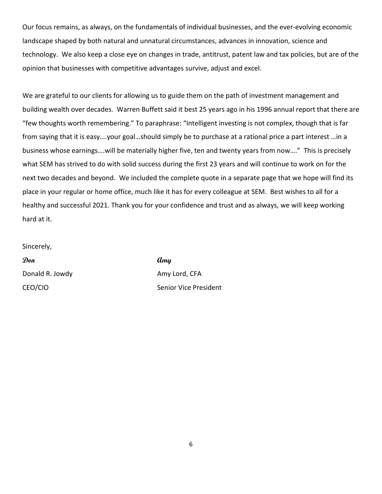Our focus remains, as always, on the fundamentals of individual businesses, and the ever-evolving economic landscape shaped by both natural and unnatural circumstances, advances in innovation, science and technology. We also keep a close eye on changes in trade, antitrust, patent law and tax policies, but are of the opinion that businesses with competitive advantages survive, adjust and excel.

We are grateful to our clients for allowing us to guide them on the path of investment management and building wealth over decades. Warren Buffett said it best 25 years ago in his 1996 annual report that there are "few thoughts worth remembering." To paraphrase: "Intelligent investing is not complex, though that is far from saying that it is easy….your goal…should simply be to purchase at a rational price a part interest …in a business whose earnings….will be materially higher five, ten and twenty years from now…." This is precisely what SEM has strived to do with solid success during the first 23 years and will continue to work on for the next two decades and beyond. We included the complete quote in a separate page that we hope will find its place in your regular or home office, much like it has for every colleague at SEM. Best wishes to all for a healthy and successful 2021. Thank you for your confidence and trust and as always, we will keep working hard at it.

Sincerely,

**Don Amy** Donald R. Jowdy **Amy Lord, CFA** 

CEO/CIO Senior Vice President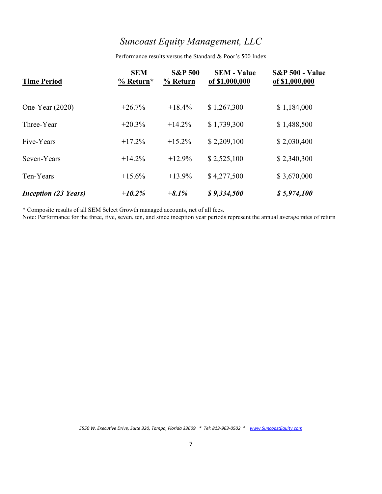# *Suncoast Equity Management, LLC*

Performance results versus the Standard & Poor's 500 Index

| <b>Time Period</b>          | <b>SEM</b><br>$%$ Return* | <b>S&amp;P 500</b><br>% Return | <b>SEM - Value</b><br>of \$1,000,000 | <b>S&amp;P 500 - Value</b><br>of \$1,000,000 |
|-----------------------------|---------------------------|--------------------------------|--------------------------------------|----------------------------------------------|
| One-Year $(2020)$           | $+26.7%$                  | $+18.4%$                       | \$1,267,300                          | \$1,184,000                                  |
| Three-Year                  | $+20.3%$                  | $+14.2%$                       | \$1,739,300                          | \$1,488,500                                  |
| Five-Years                  | $+17.2\%$                 | $+15.2\%$                      | \$2,209,100                          | \$2,030,400                                  |
| Seven-Years                 | $+14.2%$                  | $+12.9%$                       | \$2,525,100                          | \$2,340,300                                  |
| Ten-Years                   | $+15.6%$                  | $+13.9%$                       | \$4,277,500                          | \$3,670,000                                  |
| <i>Inception (23 Years)</i> | $+10.2\%$                 | $+8.1\%$                       | \$9,334,500                          | \$5,974,100                                  |

\* Composite results of all SEM Select Growth managed accounts, net of all fees.

Note: Performance for the three, five, seven, ten, and since inception year periods represent the annual average rates of return